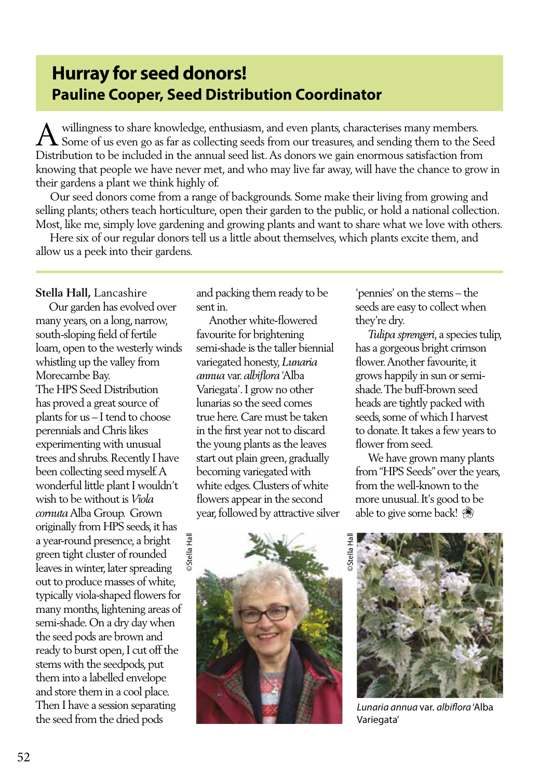## **Hurray for seed donors! Pauline Cooper, Seed Distribution Coordinator**

willingness to share knowledge, enthusiasm, and even plants, characterises many members. Some of us even go as far as collecting seeds from our treasures, and sending them to the Seed Distribution to be included in the annual seed list. As donors we gain enormous satisfaction from knowing that people we have never met, and who may live far away, will have the chance to grow in their gardens a plant we think highly of.  $\overline{A}$ 

 Our seed donors come from a range of backgrounds. Some make their living from growing and selling plants; others teach horticulture, open their garden to the public, or hold a national collection. Most, like me, simply love gardening and growing plants and want to share what we love with others.

 Here six of our regular donors tell us a little about themselves, which plants excite them, and allow us a peek into their gardens.

**Stella Hall,** Lancashire

 Our garden has evolved over many years, on a long, narrow, south-sloping field of fertile loam, open to the westerly winds whistling up the valley from Morecambe Bay. The HPS Seed Distribution has proved a great source of plants for us – I tend to choose perennials and Chris likes experimenting with unusual trees and shrubs. Recently I have been collecting seed myself. A wonderful little plant I wouldn't wish to be without is *Viola cornuta* Alba Group. Grown originally from HPS seeds, it has a year-round presence, a bright green tight cluster of rounded leaves in winter, later spreading out to produce masses of white, typically viola-shaped flowers for many months, lightening areas of semi-shade. On a dry day when the seed pods are brown and ready to burst open, I cut off the stems with the seedpods, put them into a labelled envelope and store them in a cool place. Then I have a session separating the seed from the dried pods

and packing them ready to be sent in.

 Another white-flowered favourite for brightening semi-shade is the taller biennial variegated honesty, *Lunaria annua* var. *albiflora* 'Alba Variegata'. I grow no other lunarias so the seed comes true here. Care must be taken in the first year not to discard the young plants as the leaves start out plain green, gradually becoming variegated with white edges. Clusters of white flowers appear in the second year, followed by attractive silver



'pennies' on the stems – the seeds are easy to collect when they're dry.

 *Tulipa sprengeri*, a species tulip, has a gorgeous bright crimson flower. Another favourite, it grows happily in sun or semishade. The buff-brown seed heads are tightly packed with seeds, some of which I harvest to donate. It takes a few years to flower from seed.

 We have grown many plants from "HPS Seeds" over the years, from the well-known to the more unusual. It's good to be able to give some back!



*Lunaria annua* var. *albiflora* 'Alba Variegata'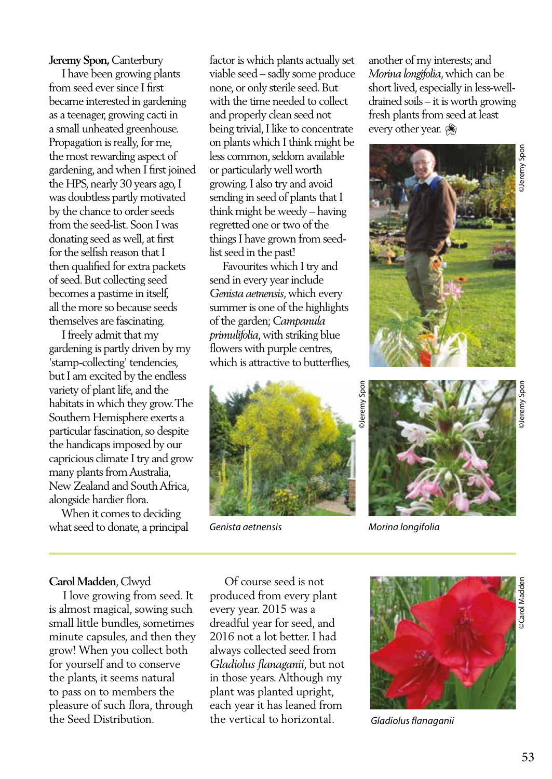**Jeremy Spon,** Canterbury

 I have been growing plants from seed ever since I first became interested in gardening as a teenager, growing cacti in a small unheated greenhouse. Propagation is really, for me, the most rewarding aspect of gardening, and when I first joined the HPS, nearly 30 years ago, I was doubtless partly motivated by the chance to order seeds from the seed-list. Soon I was donating seed as well, at first for the selfish reason that I then qualified for extra packets of seed. But collecting seed becomes a pastime in itself, all the more so because seeds themselves are fascinating.

 I freely admit that my gardening is partly driven by my 'stamp-collecting' tendencies, but I am excited by the endless variety of plant life, and the habitats in which they grow. The Southern Hemisphere exerts a particular fascination, so despite the handicaps imposed by our capricious climate I try and grow many plants from Australia, New Zealand and South Africa, alongside hardier flora.

 When it comes to deciding what seed to donate, a principal factor is which plants actually set viable seed – sadly some produce none, or only sterile seed. But with the time needed to collect and properly clean seed not being trivial, I like to concentrate on plants which I think might be less common, seldom available or particularly well worth growing. I also try and avoid sending in seed of plants that I think might be weedy – having regretted one or two of the things I have grown from seedlist seed in the past!

 Favourites which I try and send in every year include *Genista aetnensis*, which every summer is one of the highlights of the garden; *Campanula primulifolia*, with striking blue flowers with purple centres, which is attractive to butterflies,



another of my interests; and *Morina longifolia*, which can be short lived, especially in less-welldrained soils – it is worth growing fresh plants from seed at least every other year.





*Genista aetnensis Morina longifolia*

## **Carol Madden**, Clwyd

 I love growing from seed. It is almost magical, sowing such small little bundles, sometimes minute capsules, and then they grow! When you collect both for yourself and to conserve the plants, it seems natural to pass on to members the pleasure of such flora, through the Seed Distribution.

 Of course seed is not produced from every plant every year. 2015 was a dreadful year for seed, and 2016 not a lot better. I had always collected seed from *Gladiolus flanaganii*, but not in those years. Although my plant was planted upright, each year it has leaned from the vertical to horizontal.



*Gladiolus flanaganii*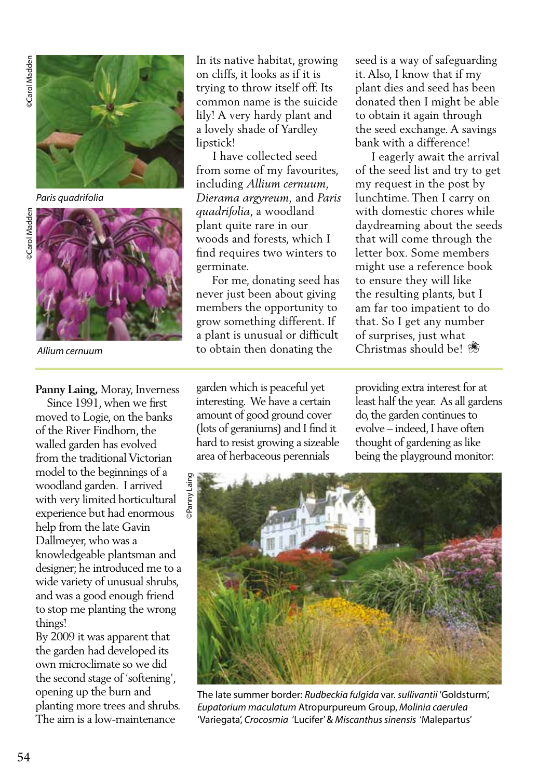

*Paris quadrifolia*



*Allium cernuum*

In its native habitat, growing on cliffs, it looks as if it is trying to throw itself off. Its common name is the suicide lily! A very hardy plant and a lovely shade of Yardley lipstick!

 I have collected seed from some of my favourites, including *Allium cernuum, Dierama argyreum,* and *Paris quadrifolia*, a woodland plant quite rare in our woods and forests, which I find requires two winters to germinate.

 For me, donating seed has never just been about giving members the opportunity to grow something different. If a plant is unusual or difficult to obtain then donating the

seed is a way of safeguarding it. Also, I know that if my plant dies and seed has been donated then I might be able to obtain it again through the seed exchange. A savings bank with a difference!

 I eagerly await the arrival of the seed list and try to get my request in the post by lunchtime. Then I carry on with domestic chores while daydreaming about the seeds that will come through the letter box. Some members might use a reference book to ensure they will like the resulting plants, but I am far too impatient to do that. So I get any number of surprises, just what Christmas should be!

garden which is peaceful yet interesting. We have a certain amount of good ground cover (lots of geraniums) and I find it hard to resist growing a sizeable area of herbaceous perennials

providing extra interest for at least half the year. As all gardens do, the garden continues to evolve – indeed, I have often thought of gardening as like being the playground monitor:



The late summer border: *Rudbeckia fulgida* var. *sullivantii* 'Goldsturm', *Eupatorium maculatum* Atropurpureum Group, *Molinia caerulea*  'Variegata', *Crocosmia* 'Lucifer' & *Miscanthus sinensis* 'Malepartus'

**Panny Laing,** Moray, Inverness

 Since 1991, when we first moved to Logie, on the banks of the River Findhorn, the walled garden has evolved from the traditional Victorian model to the beginnings of a woodland garden. I arrived with very limited horticultural experience but had enormous help from the late Gavin Dallmeyer, who was a knowledgeable plantsman and designer; he introduced me to a wide variety of unusual shrubs, and was a good enough friend to stop me planting the wrong things!

By 2009 it was apparent that the garden had developed its own microclimate so we did the second stage of 'softening', opening up the burn and planting more trees and shrubs. The aim is a low-maintenance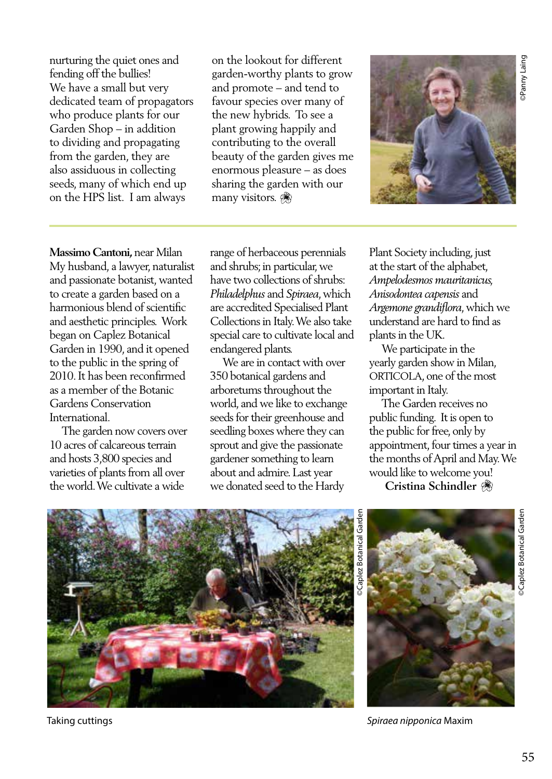nurturing the quiet ones and fending off the bullies! We have a small but very dedicated team of propagators who produce plants for our Garden Shop – in addition to dividing and propagating from the garden, they are also assiduous in collecting seeds, many of which end up on the HPS list. I am always

on the lookout for different garden-worthy plants to grow and promote – and tend to favour species over many of the new hybrids. To see a plant growing happily and contributing to the overall beauty of the garden gives me enormous pleasure – as does sharing the garden with our many visitors.



**Massimo Cantoni,** near Milan My husband, a lawyer, naturalist and passionate botanist, wanted to create a garden based on a harmonious blend of scientific and aesthetic principles. Work began on Caplez Botanical Garden in 1990, and it opened to the public in the spring of 2010. It has been reconfirmed as a member of the Botanic Gardens Conservation International.

 The garden now covers over 10 acres of calcareous terrain and hosts 3,800 species and varieties of plants from all over the world. We cultivate a wide

range of herbaceous perennials and shrubs; in particular, we have two collections of shrubs: *Philadelphus* and *Spiraea*, which are accredited Specialised Plant Collections in Italy. We also take special care to cultivate local and endangered plants.

 We are in contact with over 350 botanical gardens and arboretums throughout the world, and we like to exchange seeds for their greenhouse and seedling boxes where they can sprout and give the passionate gardener something to learn about and admire. Last year we donated seed to the Hardy

Plant Society including, just at the start of the alphabet, *Ampelodesmos mauritanicus, Anisodontea capensis* and *Argemone grandiflora*, which we understand are hard to find as plants in the UK.

 We participate in the yearly garden show in Milan, ORTICOLA, one of the most important in Italy.

 The Garden receives no public funding. It is open to the public for free, only by appointment, four times a year in the months of April and May. We would like to welcome you!

 **Cristina Schindler**





©Caplez Botanical Garden Garde plez Botanical



Taking cuttings *Spiraea nipponica* Maxim